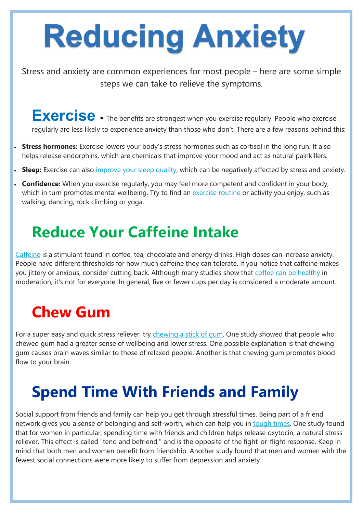# Reducing Anxiety

Stress and anxiety are common experiences for most people – here are some simple steps we can take to relieve the symptoms.

Exercise - The benefits are strongest when you exercise regularly. People who exercise regularly are less likely to experience anxiety than those who don't. There are a few reasons behind this:

- **Stress hormones:** Exercise lowers your body's stress hormones such as cortisol in the long run. It also helps release endorphins, which are chemicals that improve your mood and act as natural painkillers.
- **Sleep:** Exercise can also *improve your sleep quality*, which can be negatively affected by stress and anxiety.
- **Confidence:** When you exercise regularly, you may feel more competent and confident in your body, which in turn promotes mental wellbeing. Try to find an *[exercise routine](https://www.healthline.com/nutrition/how-to-start-exercising)* or activity you enjoy, such as walking, dancing, rock climbing or yoga.

For a super easy and quick stress reliever, try [chewing a stick of gum.](https://www.healthline.com/nutrition/chewing-gum-good-or-bad) One study showed that people who chewed gum had a greater sense of wellbeing and lower stress. One possible explanation is that chewing gum causes brain waves similar to those of relaxed people. Another is that chewing gum promotes blood flow to your brain.



## **Reduce Your Caffeine Intake**

[Caffeine](https://www.healthline.com/nutrition/what-is-caffeine) is a stimulant found in coffee, tea, chocolate and energy drinks. High doses can increase anxiety. People have different thresholds for how much caffeine they can tolerate. If you notice that caffeine makes you jittery or anxious, consider cutting back. Although many studies show that [coffee can be healthy](https://www.healthline.com/nutrition/top-13-evidence-based-health-benefits-of-coffee) in moderation, it's not for everyone. In general, five or fewer cups per day is considered a moderate amount.

## **Chew Gum**

## **Spend Time With Friends and Family**

Social support from friends and family can help you get through stressful times. Being part of a friend network gives you a sense of belonging and self-worth, which can help you in [tough times.](https://www.healthline.com/nutrition/symptoms-of-stress) One study found that for women in particular, spending time with friends and children helps release oxytocin, a natural stress reliever. This effect is called "tend and befriend," and is the opposite of the fight-or-flight response. Keep in mind that both men and women benefit from friendship. Another study found that men and women with the fewest social connections were more likely to suffer from depression and anxiety.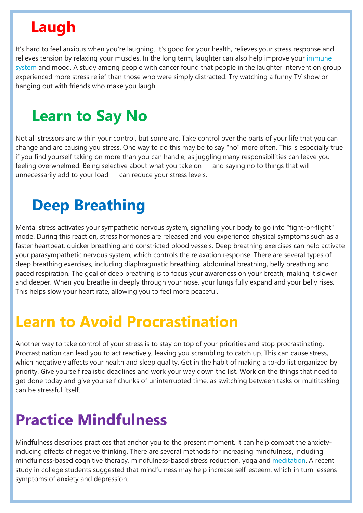# **Laugh**

It's hard to feel anxious when you're laughing. It's good for your health, relieves your stress response and relieves tension by relaxing your muscles. In the long term, laughter can also help improve your *immune* [system](https://www.healthline.com/health/food-nutrition/foods-that-boost-the-immune-system) and mood. A study among people with cancer found that people in the laughter intervention group experienced more stress relief than those who were simply distracted. Try watching a funny TV show or hanging out with friends who make you laugh.

## **Learn to Say No**

Not all stressors are within your control, but some are. Take control over the parts of your life that you can change and are causing you stress. One way to do this may be to say "no" more often. This is especially true if you find yourself taking on more than you can handle, as juggling many responsibilities can leave you feeling overwhelmed. Being selective about what you take on — and saying no to things that will unnecessarily add to your load — can reduce your stress levels.

## **Deep Breathing**

Mental stress activates your sympathetic nervous system, signalling your body to go into "fight-or-flight" mode. During this reaction, stress hormones are released and you experience physical symptoms such as a faster heartbeat, quicker breathing and constricted blood vessels. Deep breathing exercises can help activate your parasympathetic nervous system, which controls the relaxation response. There are several types of deep breathing exercises, including diaphragmatic breathing, abdominal breathing, belly breathing and paced respiration. The goal of deep breathing is to focus your awareness on your breath, making it slower and deeper. When you breathe in deeply through your nose, your lungs fully expand and your belly rises. This helps slow your heart rate, allowing you to feel more peaceful.

## **Learn to Avoid Procrastination**

Another way to take control of your stress is to stay on top of your priorities and stop procrastinating. Procrastination can lead you to act reactively, leaving you scrambling to catch up. This can cause stress, which negatively affects your health and sleep quality. Get in the habit of making a to-do list organized by priority. Give yourself realistic deadlines and work your way down the list. Work on the things that need to get done today and give yourself chunks of uninterrupted time, as switching between tasks or multitasking can be stressful itself.

## **Practice Mindfulness**

Mindfulness describes practices that anchor you to the present moment. It can help combat the anxietyinducing effects of negative thinking. There are several methods for increasing mindfulness, including mindfulness-based cognitive therapy, mindfulness-based stress reduction, yoga and [meditation.](https://www.healthline.com/nutrition/12-benefits-of-meditation) A recent study in college students suggested that mindfulness may help increase self-esteem, which in turn lessens symptoms of anxiety and depression.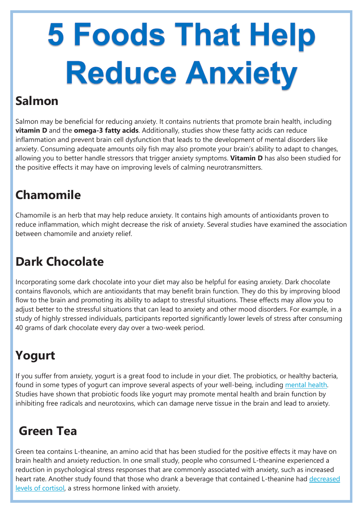# 5 Foods That Help **Reduce Anxiety**

### **Salmon**

Salmon may be beneficial for reducing anxiety. It contains nutrients that promote brain health, including **vitamin D** and the **omega-3 fatty acids**. Additionally, studies show these fatty acids can reduce inflammation and prevent brain cell dysfunction that leads to the development of mental disorders like anxiety. Consuming adequate amounts oily fish may also promote your brain's ability to adapt to changes, allowing you to better handle stressors that trigger anxiety symptoms. **Vitamin D** has also been studied for the positive effects it may have on improving levels of calming neurotransmitters.

## **Chamomile**

Chamomile is an herb that may help reduce anxiety. It contains high amounts of antioxidants proven to reduce inflammation, which might decrease the risk of anxiety. Several studies have examined the association between chamomile and anxiety relief.

### **Dark Chocolate**

Incorporating some dark chocolate into your diet may also be helpful for easing anxiety. Dark chocolate contains flavonols, which are antioxidants that may benefit brain function. They do this by improving blood flow to the brain and promoting its ability to adapt to stressful situations. These effects may allow you to adjust better to the stressful situations that can lead to anxiety and other mood disorders. For example, in a study of highly stressed individuals, participants reported significantly lower levels of stress after consuming 40 grams of dark chocolate every day over a two-week period.

## **Yogurt**

If you suffer from anxiety, yogurt is a great food to include in your diet. The probiotics, or healthy bacteria, found in some types of yogurt can improve several aspects of your well-being, including [mental health.](https://www.healthline.com/nutrition/probiotics-and-brain-health) Studies have shown that probiotic foods like yogurt may promote mental health and brain function by inhibiting free radicals and neurotoxins, which can damage nerve tissue in the brain and lead to anxiety.

#### **Green Tea**

Green tea contains L-theanine, an amino acid that has been studied for the positive effects it may have on brain health and anxiety reduction. In one small study, people who consumed L-theanine experienced a reduction in psychological stress responses that are commonly associated with anxiety, such as increased heart rate. Another study found that those who drank a beverage that contained L-theanine had decreased [levels of cortisol,](https://www.healthline.com/nutrition/ways-to-lower-cortisol) a stress hormone linked with anxiety.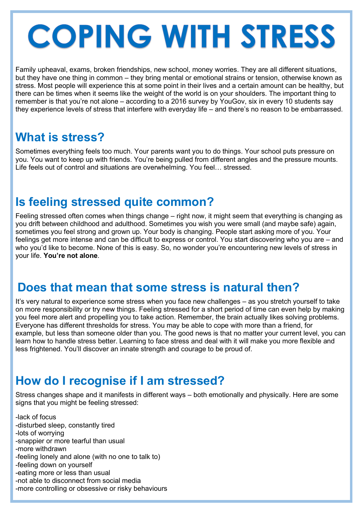# COPING WITH STRESS

Family upheaval, exams, broken friendships, new school, money worries. They are all different situations, but they have one thing in common – they bring mental or emotional strains or tension, otherwise known as stress. Most people will experience this at some point in their lives and a certain amount can be healthy, but there can be times when it seems like the weight of the world is on your shoulders. The important thing to remember is that you're not alone – according to a 2016 survey by YouGov, six in every 10 students say they experience levels of stress that interfere with everyday life – and there's no reason to be embarrassed.

### **What is stress?**

Sometimes everything feels too much. Your parents want you to do things. Your school puts pressure on you. You want to keep up with friends. You're being pulled from different angles and the pressure mounts. Life feels out of control and situations are overwhelming. You feel… stressed.

### **Is feeling stressed quite common?**

Feeling stressed often comes when things change – right now, it might seem that everything is changing as you drift between childhood and adulthood. Sometimes you wish you were small (and maybe safe) again, sometimes you feel strong and grown up. Your body is changing. People start asking more of you. Your feelings get more intense and can be difficult to express or control. You start discovering who you are – and who you'd like to become. None of this is easy. So, no wonder you're encountering new levels of stress in your life. **You're not alone**.

#### **Does that mean that some stress is natural then?**

It's very natural to experience some stress when you face new challenges – as you stretch yourself to take on more responsibility or try new things. Feeling stressed for a short period of time can even help by making you feel more alert and propelling you to take action. Remember, the brain actually likes solving problems. Everyone has different thresholds for stress. You may be able to cope with more than a friend, for example, but less than someone older than you. The good news is that no matter your current level, you can learn how to handle stress better. Learning to face stress and deal with it will make you more flexible and less frightened. You'll discover an innate strength and courage to be proud of.

#### **How do I recognise if I am stressed?**

Stress changes shape and it manifests in different ways – both emotionally and physically. Here are some signs that you might be feeling stressed:

-lack of focus

-disturbed sleep, constantly tired

-lots of worrying

-snappier or more tearful than usual

-more withdrawn

-feeling lonely and alone (with no one to talk to) -feeling down on yourself

-eating more or less than usual

-not able to disconnect from social media

-more controlling or obsessive or risky behaviours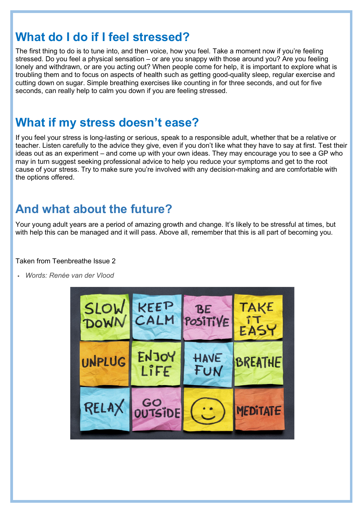#### **What do I do if I feel stressed?**

The first thing to do is to tune into, and then voice, how you feel. Take a moment now if you're feeling stressed. Do you feel a physical sensation – or are you snappy with those around you? Are you feeling lonely and withdrawn, or are you acting out? When people come for help, it is important to explore what is troubling them and to focus on aspects of health such as getting good-quality sleep, regular exercise and cutting down on sugar. Simple breathing exercises like counting in for three seconds, and out for five seconds, can really help to calm you down if you are feeling stressed.

#### **What if my stress doesn't ease?**

If you feel your stress is long-lasting or serious, speak to a responsible adult, whether that be a relative or teacher. Listen carefully to the advice they give, even if you don't like what they have to say at first. Test their ideas out as an experiment – and come up with your own ideas. They may encourage you to see a GP who may in turn suggest seeking professional advice to help you reduce your symptoms and get to the root cause of your stress. Try to make sure you're involved with any decision-making and are comfortable with the options offered.

#### **And what about the future?**

Your young adult years are a period of amazing growth and change. It's likely to be stressful at times, but with help this can be managed and it will pass. Above all, remember that this is all part of becoming you.

Taken from Teenbreathe Issue 2

*Words: Renée van der Vlood*

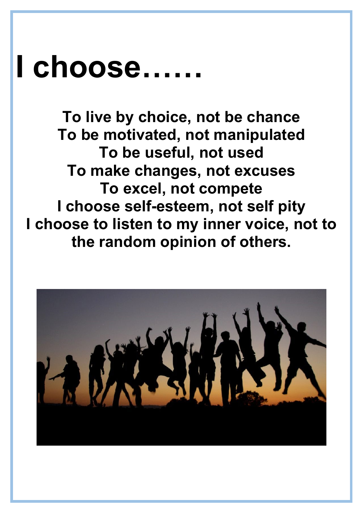# **I choose……**

**To live by choice, not be chance To be motivated, not manipulated To be useful, not used To make changes, not excuses To excel, not compete I choose self-esteem, not self pity I choose to listen to my inner voice, not to the random opinion of others.**